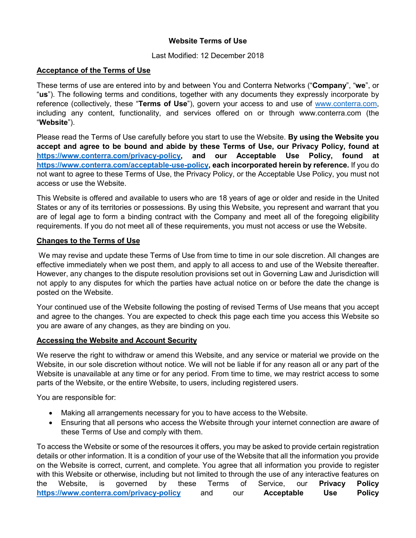# **Website Terms of Use**

#### Last Modified: 12 December 2018

### **Acceptance of the Terms of Use**

These terms of use are entered into by and between You and Conterra Networks ("**Company**", "**we**", or "**us**"). The following terms and conditions, together with any documents they expressly incorporate by reference (collectively, these "**Terms of Use**"), govern your access to and use of [www.conterra.com,](http://www.conterra.com/) including any content, functionality, and services offered on or through www.conterra.com (the "**Website**").

Please read the Terms of Use carefully before you start to use the Website. **By using the Website you accept and agree to be bound and abide by these Terms of Use, our Privacy Policy, found at [https://www.conterra.com/privacy-policy,](https://www.conterra.com/privacy-policy) and our Acceptable Use Policy, found at [https://www.conterra.com/acceptable-use-policy,](https://www.conterra.com/acceptable-use-policy) each incorporated herein by reference.** If you do not want to agree to these Terms of Use, the Privacy Policy, or the Acceptable Use Policy, you must not access or use the Website.

This Website is offered and available to users who are 18 years of age or older and reside in the United States or any of its territories or possessions. By using this Website, you represent and warrant that you are of legal age to form a binding contract with the Company and meet all of the foregoing eligibility requirements. If you do not meet all of these requirements, you must not access or use the Website.

### **Changes to the Terms of Use**

We may revise and update these Terms of Use from time to time in our sole discretion. All changes are effective immediately when we post them, and apply to all access to and use of the Website thereafter. However, any changes to the dispute resolution provisions set out in Governing Law and Jurisdiction will not apply to any disputes for which the parties have actual notice on or before the date the change is posted on the Website.

Your continued use of the Website following the posting of revised Terms of Use means that you accept and agree to the changes. You are expected to check this page each time you access this Website so you are aware of any changes, as they are binding on you.

#### **Accessing the Website and Account Security**

We reserve the right to withdraw or amend this Website, and any service or material we provide on the Website, in our sole discretion without notice. We will not be liable if for any reason all or any part of the Website is unavailable at any time or for any period. From time to time, we may restrict access to some parts of the Website, or the entire Website, to users, including registered users.

You are responsible for:

- Making all arrangements necessary for you to have access to the Website.
- Ensuring that all persons who access the Website through your internet connection are aware of these Terms of Use and comply with them.

To access the Website or some of the resources it offers, you may be asked to provide certain registration details or other information. It is a condition of your use of the Website that all the information you provide on the Website is correct, current, and complete. You agree that all information you provide to register with this Website or otherwise, including but not limited to through the use of any interactive features on the Website, is governed by these Terms of Service, our **Privacy Policy <https://www.conterra.com/privacy-policy>** and our **Acceptable Use Policy**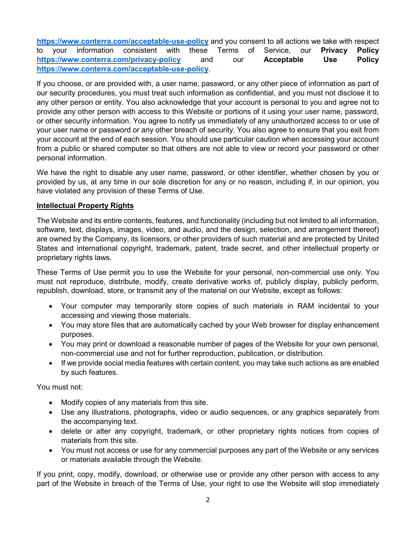**<https://www.conterra.com/acceptable-use-policy>** and you consent to all actions we take with respect to your information consistent with these Terms of Service, our **Privacy Policy <https://www.conterra.com/privacy-policy>** and our **Acceptable Use Policy <https://www.conterra.com/acceptable-use-policy>**.

If you choose, or are provided with, a user name, password, or any other piece of information as part of our security procedures, you must treat such information as confidential, and you must not disclose it to any other person or entity. You also acknowledge that your account is personal to you and agree not to provide any other person with access to this Website or portions of it using your user name, password, or other security information. You agree to notify us immediately of any unauthorized access to or use of your user name or password or any other breach of security. You also agree to ensure that you exit from your account at the end of each session. You should use particular caution when accessing your account from a public or shared computer so that others are not able to view or record your password or other personal information.

We have the right to disable any user name, password, or other identifier, whether chosen by you or provided by us, at any time in our sole discretion for any or no reason, including if, in our opinion, you have violated any provision of these Terms of Use.

### **Intellectual Property Rights**

The Website and its entire contents, features, and functionality (including but not limited to all information, software, text, displays, images, video, and audio, and the design, selection, and arrangement thereof) are owned by the Company, its licensors, or other providers of such material and are protected by United States and international copyright, trademark, patent, trade secret, and other intellectual property or proprietary rights laws.

These Terms of Use permit you to use the Website for your personal, non-commercial use only. You must not reproduce, distribute, modify, create derivative works of, publicly display, publicly perform, republish, download, store, or transmit any of the material on our Website, except as follows:

- Your computer may temporarily store copies of such materials in RAM incidental to your accessing and viewing those materials.
- You may store files that are automatically cached by your Web browser for display enhancement purposes.
- You may print or download a reasonable number of pages of the Website for your own personal, non-commercial use and not for further reproduction, publication, or distribution.
- If we provide social media features with certain content, you may take such actions as are enabled by such features.

You must not:

- Modify copies of any materials from this site.
- Use any illustrations, photographs, video or audio sequences, or any graphics separately from the accompanying text.
- delete or alter any copyright, trademark, or other proprietary rights notices from copies of materials from this site.
- You must not access or use for any commercial purposes any part of the Website or any services or materials available through the Website.

If you print, copy, modify, download, or otherwise use or provide any other person with access to any part of the Website in breach of the Terms of Use, your right to use the Website will stop immediately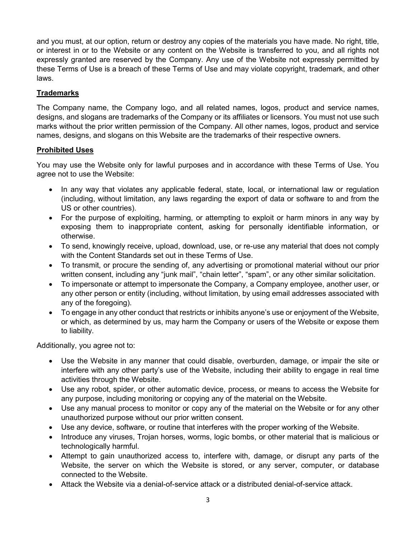and you must, at our option, return or destroy any copies of the materials you have made. No right, title, or interest in or to the Website or any content on the Website is transferred to you, and all rights not expressly granted are reserved by the Company. Any use of the Website not expressly permitted by these Terms of Use is a breach of these Terms of Use and may violate copyright, trademark, and other laws.

# **Trademarks**

The Company name, the Company logo, and all related names, logos, product and service names, designs, and slogans are trademarks of the Company or its affiliates or licensors. You must not use such marks without the prior written permission of the Company. All other names, logos, product and service names, designs, and slogans on this Website are the trademarks of their respective owners.

### **Prohibited Uses**

You may use the Website only for lawful purposes and in accordance with these Terms of Use. You agree not to use the Website:

- In any way that violates any applicable federal, state, local, or international law or regulation (including, without limitation, any laws regarding the export of data or software to and from the US or other countries).
- For the purpose of exploiting, harming, or attempting to exploit or harm minors in any way by exposing them to inappropriate content, asking for personally identifiable information, or otherwise.
- To send, knowingly receive, upload, download, use, or re-use any material that does not comply with the Content Standards set out in these Terms of Use.
- To transmit, or procure the sending of, any advertising or promotional material without our prior written consent, including any "junk mail", "chain letter", "spam", or any other similar solicitation.
- To impersonate or attempt to impersonate the Company, a Company employee, another user, or any other person or entity (including, without limitation, by using email addresses associated with any of the foregoing).
- To engage in any other conduct that restricts or inhibits anyone's use or enjoyment of the Website, or which, as determined by us, may harm the Company or users of the Website or expose them to liability.

Additionally, you agree not to:

- Use the Website in any manner that could disable, overburden, damage, or impair the site or interfere with any other party's use of the Website, including their ability to engage in real time activities through the Website.
- Use any robot, spider, or other automatic device, process, or means to access the Website for any purpose, including monitoring or copying any of the material on the Website.
- Use any manual process to monitor or copy any of the material on the Website or for any other unauthorized purpose without our prior written consent.
- Use any device, software, or routine that interferes with the proper working of the Website.
- Introduce any viruses, Trojan horses, worms, logic bombs, or other material that is malicious or technologically harmful.
- Attempt to gain unauthorized access to, interfere with, damage, or disrupt any parts of the Website, the server on which the Website is stored, or any server, computer, or database connected to the Website.
- Attack the Website via a denial-of-service attack or a distributed denial-of-service attack.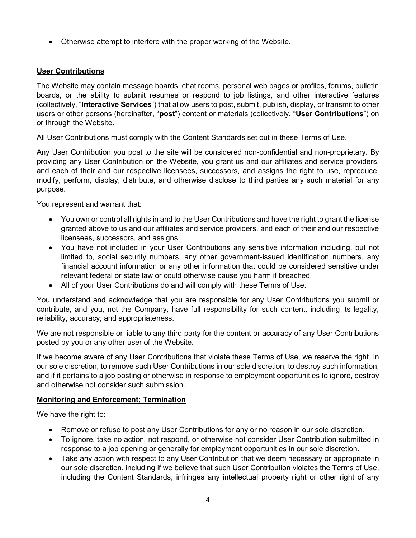• Otherwise attempt to interfere with the proper working of the Website.

# **User Contributions**

The Website may contain message boards, chat rooms, personal web pages or profiles, forums, bulletin boards, or the ability to submit resumes or respond to job listings, and other interactive features (collectively, "**Interactive Services**") that allow users to post, submit, publish, display, or transmit to other users or other persons (hereinafter, "**post**") content or materials (collectively, "**User Contributions**") on or through the Website.

All User Contributions must comply with the Content Standards set out in these Terms of Use.

Any User Contribution you post to the site will be considered non-confidential and non-proprietary. By providing any User Contribution on the Website, you grant us and our affiliates and service providers, and each of their and our respective licensees, successors, and assigns the right to use, reproduce, modify, perform, display, distribute, and otherwise disclose to third parties any such material for any purpose.

You represent and warrant that:

- You own or control all rights in and to the User Contributions and have the right to grant the license granted above to us and our affiliates and service providers, and each of their and our respective licensees, successors, and assigns.
- You have not included in your User Contributions any sensitive information including, but not limited to, social security numbers, any other government-issued identification numbers, any financial account information or any other information that could be considered sensitive under relevant federal or state law or could otherwise cause you harm if breached.
- All of your User Contributions do and will comply with these Terms of Use.

You understand and acknowledge that you are responsible for any User Contributions you submit or contribute, and you, not the Company, have full responsibility for such content, including its legality, reliability, accuracy, and appropriateness.

We are not responsible or liable to any third party for the content or accuracy of any User Contributions posted by you or any other user of the Website.

If we become aware of any User Contributions that violate these Terms of Use, we reserve the right, in our sole discretion, to remove such User Contributions in our sole discretion, to destroy such information, and if it pertains to a job posting or otherwise in response to employment opportunities to ignore, destroy and otherwise not consider such submission.

#### **Monitoring and Enforcement; Termination**

We have the right to:

- Remove or refuse to post any User Contributions for any or no reason in our sole discretion.
- To ignore, take no action, not respond, or otherwise not consider User Contribution submitted in response to a job opening or generally for employment opportunities in our sole discretion.
- Take any action with respect to any User Contribution that we deem necessary or appropriate in our sole discretion, including if we believe that such User Contribution violates the Terms of Use, including the Content Standards, infringes any intellectual property right or other right of any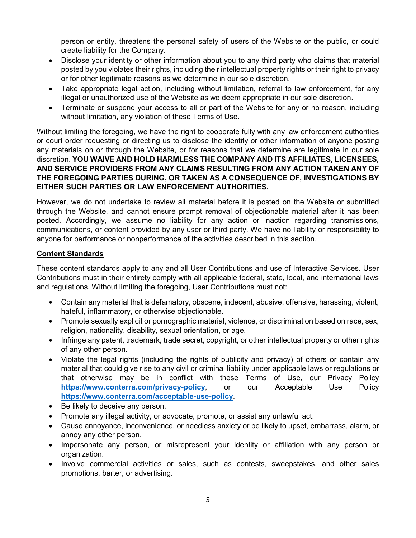person or entity, threatens the personal safety of users of the Website or the public, or could create liability for the Company.

- Disclose your identity or other information about you to any third party who claims that material posted by you violates their rights, including their intellectual property rights or their right to privacy or for other legitimate reasons as we determine in our sole discretion.
- Take appropriate legal action, including without limitation, referral to law enforcement, for any illegal or unauthorized use of the Website as we deem appropriate in our sole discretion.
- Terminate or suspend your access to all or part of the Website for any or no reason, including without limitation, any violation of these Terms of Use.

Without limiting the foregoing, we have the right to cooperate fully with any law enforcement authorities or court order requesting or directing us to disclose the identity or other information of anyone posting any materials on or through the Website, or for reasons that we determine are legitimate in our sole discretion. **YOU WAIVE AND HOLD HARMLESS THE COMPANY AND ITS AFFILIATES, LICENSEES, AND SERVICE PROVIDERS FROM ANY CLAIMS RESULTING FROM ANY ACTION TAKEN ANY OF THE FOREGOING PARTIES DURING, OR TAKEN AS A CONSEQUENCE OF, INVESTIGATIONS BY EITHER SUCH PARTIES OR LAW ENFORCEMENT AUTHORITIES.**

However, we do not undertake to review all material before it is posted on the Website or submitted through the Website, and cannot ensure prompt removal of objectionable material after it has been posted. Accordingly, we assume no liability for any action or inaction regarding transmissions, communications, or content provided by any user or third party. We have no liability or responsibility to anyone for performance or nonperformance of the activities described in this section.

### **Content Standards**

These content standards apply to any and all User Contributions and use of Interactive Services. User Contributions must in their entirety comply with all applicable federal, state, local, and international laws and regulations. Without limiting the foregoing, User Contributions must not:

- Contain any material that is defamatory, obscene, indecent, abusive, offensive, harassing, violent, hateful, inflammatory, or otherwise objectionable.
- Promote sexually explicit or pornographic material, violence, or discrimination based on race, sex, religion, nationality, disability, sexual orientation, or age.
- Infringe any patent, trademark, trade secret, copyright, or other intellectual property or other rights of any other person.
- Violate the legal rights (including the rights of publicity and privacy) of others or contain any material that could give rise to any civil or criminal liability under applicable laws or regulations or that otherwise may be in conflict with these Terms of Use, our Privacy Policy **<https://www.conterra.com/privacy-policy>**, or our Acceptable Use Policy **<https://www.conterra.com/acceptable-use-policy>**.
- Be likely to deceive any person.
- Promote any illegal activity, or advocate, promote, or assist any unlawful act.
- Cause annoyance, inconvenience, or needless anxiety or be likely to upset, embarrass, alarm, or annoy any other person.
- Impersonate any person, or misrepresent your identity or affiliation with any person or organization.
- Involve commercial activities or sales, such as contests, sweepstakes, and other sales promotions, barter, or advertising.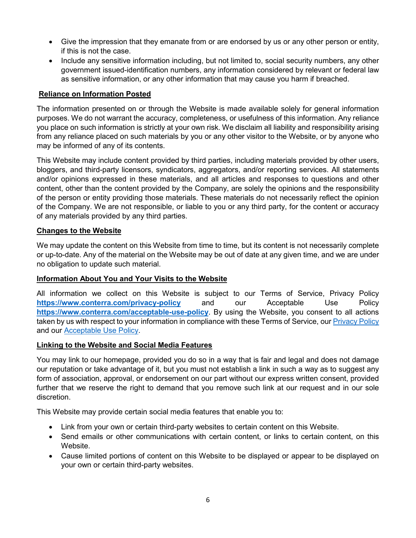- Give the impression that they emanate from or are endorsed by us or any other person or entity, if this is not the case.
- Include any sensitive information including, but not limited to, social security numbers, any other government issued-identification numbers, any information considered by relevant or federal law as sensitive information, or any other information that may cause you harm if breached.

#### **Reliance on Information Posted**

The information presented on or through the Website is made available solely for general information purposes. We do not warrant the accuracy, completeness, or usefulness of this information. Any reliance you place on such information is strictly at your own risk. We disclaim all liability and responsibility arising from any reliance placed on such materials by you or any other visitor to the Website, or by anyone who may be informed of any of its contents.

This Website may include content provided by third parties, including materials provided by other users, bloggers, and third-party licensors, syndicators, aggregators, and/or reporting services. All statements and/or opinions expressed in these materials, and all articles and responses to questions and other content, other than the content provided by the Company, are solely the opinions and the responsibility of the person or entity providing those materials. These materials do not necessarily reflect the opinion of the Company. We are not responsible, or liable to you or any third party, for the content or accuracy of any materials provided by any third parties.

#### **Changes to the Website**

We may update the content on this Website from time to time, but its content is not necessarily complete or up-to-date. Any of the material on the Website may be out of date at any given time, and we are under no obligation to update such material.

#### **Information About You and Your Visits to the Website**

All information we collect on this Website is subject to our Terms of Service, Privacy Policy **<https://www.conterra.com/privacy-policy>** and our Acceptable Use Policy **<https://www.conterra.com/acceptable-use-policy>**. By using the Website, you consent to all actions taken by us with respect to your information in compliance with these Terms of Service, our **Privacy Policy** and our [Acceptable Use Policy.](https://www.conterra.com/acceptable-use-policy)

#### **Linking to the Website and Social Media Features**

You may link to our homepage, provided you do so in a way that is fair and legal and does not damage our reputation or take advantage of it, but you must not establish a link in such a way as to suggest any form of association, approval, or endorsement on our part without our express written consent, provided further that we reserve the right to demand that you remove such link at our request and in our sole discretion.

This Website may provide certain social media features that enable you to:

- Link from your own or certain third-party websites to certain content on this Website.
- Send emails or other communications with certain content, or links to certain content, on this Website.
- Cause limited portions of content on this Website to be displayed or appear to be displayed on your own or certain third-party websites.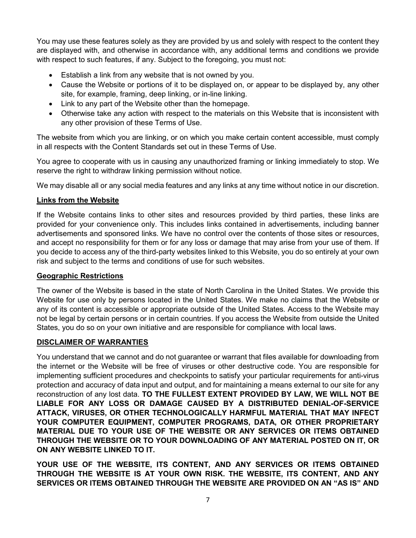You may use these features solely as they are provided by us and solely with respect to the content they are displayed with, and otherwise in accordance with, any additional terms and conditions we provide with respect to such features, if any. Subject to the foregoing, you must not:

- Establish a link from any website that is not owned by you.
- Cause the Website or portions of it to be displayed on, or appear to be displayed by, any other site, for example, framing, deep linking, or in-line linking.
- Link to any part of the Website other than the homepage.
- Otherwise take any action with respect to the materials on this Website that is inconsistent with any other provision of these Terms of Use.

The website from which you are linking, or on which you make certain content accessible, must comply in all respects with the Content Standards set out in these Terms of Use.

You agree to cooperate with us in causing any unauthorized framing or linking immediately to stop. We reserve the right to withdraw linking permission without notice.

We may disable all or any social media features and any links at any time without notice in our discretion.

### **Links from the Website**

If the Website contains links to other sites and resources provided by third parties, these links are provided for your convenience only. This includes links contained in advertisements, including banner advertisements and sponsored links. We have no control over the contents of those sites or resources, and accept no responsibility for them or for any loss or damage that may arise from your use of them. If you decide to access any of the third-party websites linked to this Website, you do so entirely at your own risk and subject to the terms and conditions of use for such websites.

#### **Geographic Restrictions**

The owner of the Website is based in the state of North Carolina in the United States. We provide this Website for use only by persons located in the United States. We make no claims that the Website or any of its content is accessible or appropriate outside of the United States. Access to the Website may not be legal by certain persons or in certain countries. If you access the Website from outside the United States, you do so on your own initiative and are responsible for compliance with local laws.

# **DISCLAIMER OF WARRANTIES**

You understand that we cannot and do not guarantee or warrant that files available for downloading from the internet or the Website will be free of viruses or other destructive code. You are responsible for implementing sufficient procedures and checkpoints to satisfy your particular requirements for anti-virus protection and accuracy of data input and output, and for maintaining a means external to our site for any reconstruction of any lost data. **TO THE FULLEST EXTENT PROVIDED BY LAW, WE WILL NOT BE LIABLE FOR ANY LOSS OR DAMAGE CAUSED BY A DISTRIBUTED DENIAL-OF-SERVICE ATTACK, VIRUSES, OR OTHER TECHNOLOGICALLY HARMFUL MATERIAL THAT MAY INFECT YOUR COMPUTER EQUIPMENT, COMPUTER PROGRAMS, DATA, OR OTHER PROPRIETARY MATERIAL DUE TO YOUR USE OF THE WEBSITE OR ANY SERVICES OR ITEMS OBTAINED THROUGH THE WEBSITE OR TO YOUR DOWNLOADING OF ANY MATERIAL POSTED ON IT, OR ON ANY WEBSITE LINKED TO IT.**

**YOUR USE OF THE WEBSITE, ITS CONTENT, AND ANY SERVICES OR ITEMS OBTAINED THROUGH THE WEBSITE IS AT YOUR OWN RISK. THE WEBSITE, ITS CONTENT, AND ANY SERVICES OR ITEMS OBTAINED THROUGH THE WEBSITE ARE PROVIDED ON AN "AS IS" AND**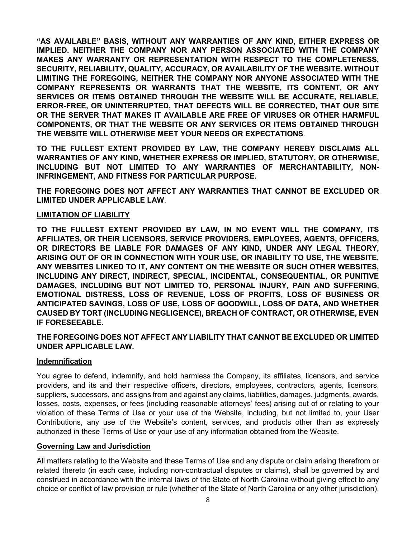**"AS AVAILABLE" BASIS, WITHOUT ANY WARRANTIES OF ANY KIND, EITHER EXPRESS OR IMPLIED. NEITHER THE COMPANY NOR ANY PERSON ASSOCIATED WITH THE COMPANY MAKES ANY WARRANTY OR REPRESENTATION WITH RESPECT TO THE COMPLETENESS, SECURITY, RELIABILITY, QUALITY, ACCURACY, OR AVAILABILITY OF THE WEBSITE. WITHOUT LIMITING THE FOREGOING, NEITHER THE COMPANY NOR ANYONE ASSOCIATED WITH THE COMPANY REPRESENTS OR WARRANTS THAT THE WEBSITE, ITS CONTENT, OR ANY SERVICES OR ITEMS OBTAINED THROUGH THE WEBSITE WILL BE ACCURATE, RELIABLE, ERROR-FREE, OR UNINTERRUPTED, THAT DEFECTS WILL BE CORRECTED, THAT OUR SITE OR THE SERVER THAT MAKES IT AVAILABLE ARE FREE OF VIRUSES OR OTHER HARMFUL COMPONENTS, OR THAT THE WEBSITE OR ANY SERVICES OR ITEMS OBTAINED THROUGH THE WEBSITE WILL OTHERWISE MEET YOUR NEEDS OR EXPECTATIONS**.

**TO THE FULLEST EXTENT PROVIDED BY LAW, THE COMPANY HEREBY DISCLAIMS ALL WARRANTIES OF ANY KIND, WHETHER EXPRESS OR IMPLIED, STATUTORY, OR OTHERWISE, INCLUDING BUT NOT LIMITED TO ANY WARRANTIES OF MERCHANTABILITY, NON-INFRINGEMENT, AND FITNESS FOR PARTICULAR PURPOSE.**

**THE FOREGOING DOES NOT AFFECT ANY WARRANTIES THAT CANNOT BE EXCLUDED OR LIMITED UNDER APPLICABLE LAW**.

#### **LIMITATION OF LIABILITY**

**TO THE FULLEST EXTENT PROVIDED BY LAW, IN NO EVENT WILL THE COMPANY, ITS AFFILIATES, OR THEIR LICENSORS, SERVICE PROVIDERS, EMPLOYEES, AGENTS, OFFICERS, OR DIRECTORS BE LIABLE FOR DAMAGES OF ANY KIND, UNDER ANY LEGAL THEORY, ARISING OUT OF OR IN CONNECTION WITH YOUR USE, OR INABILITY TO USE, THE WEBSITE, ANY WEBSITES LINKED TO IT, ANY CONTENT ON THE WEBSITE OR SUCH OTHER WEBSITES, INCLUDING ANY DIRECT, INDIRECT, SPECIAL, INCIDENTAL, CONSEQUENTIAL, OR PUNITIVE DAMAGES, INCLUDING BUT NOT LIMITED TO, PERSONAL INJURY, PAIN AND SUFFERING, EMOTIONAL DISTRESS, LOSS OF REVENUE, LOSS OF PROFITS, LOSS OF BUSINESS OR ANTICIPATED SAVINGS, LOSS OF USE, LOSS OF GOODWILL, LOSS OF DATA, AND WHETHER CAUSED BY TORT (INCLUDING NEGLIGENCE), BREACH OF CONTRACT, OR OTHERWISE, EVEN IF FORESEEABLE.**

### **THE FOREGOING DOES NOT AFFECT ANY LIABILITY THAT CANNOT BE EXCLUDED OR LIMITED UNDER APPLICABLE LAW.**

#### **Indemnification**

You agree to defend, indemnify, and hold harmless the Company, its affiliates, licensors, and service providers, and its and their respective officers, directors, employees, contractors, agents, licensors, suppliers, successors, and assigns from and against any claims, liabilities, damages, judgments, awards, losses, costs, expenses, or fees (including reasonable attorneys' fees) arising out of or relating to your violation of these Terms of Use or your use of the Website, including, but not limited to, your User Contributions, any use of the Website's content, services, and products other than as expressly authorized in these Terms of Use or your use of any information obtained from the Website.

#### **Governing Law and Jurisdiction**

All matters relating to the Website and these Terms of Use and any dispute or claim arising therefrom or related thereto (in each case, including non-contractual disputes or claims), shall be governed by and construed in accordance with the internal laws of the State of North Carolina without giving effect to any choice or conflict of law provision or rule (whether of the State of North Carolina or any other jurisdiction).